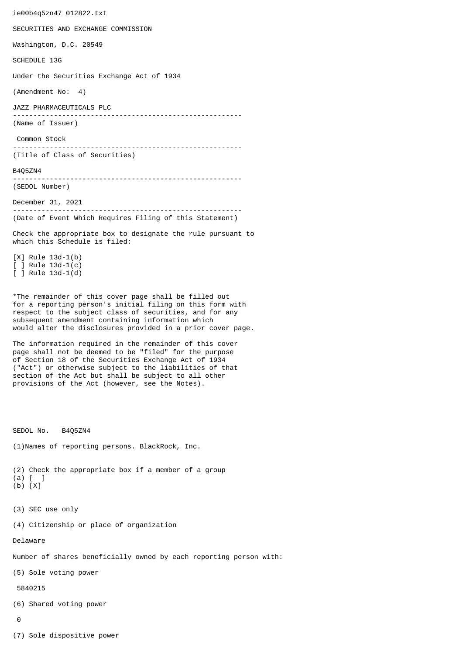ie00b4q5zn47\_012822.txt SECURITIES AND EXCHANGE COMMISSION Washington, D.C. 20549 SCHEDULE 13G Under the Securities Exchange Act of 1934 (Amendment No: 4) JAZZ PHARMACEUTICALS PLC -------------------------------------------------------- (Name of Issuer) Common Stock -------------------------------------------------------- (Title of Class of Securities) B4Q5ZN4 -------------------------------------------------------- (SEDOL Number) December 31, 2021 -------------------------------------------------------- (Date of Event Which Requires Filing of this Statement) Check the appropriate box to designate the rule pursuant to which this Schedule is filed: [X] Rule 13d-1(b) [ ] Rule 13d-1(c) [ ] Rule 13d-1(d) \*The remainder of this cover page shall be filled out for a reporting person's initial filing on this form with respect to the subject class of securities, and for any subsequent amendment containing information which would alter the disclosures provided in a prior cover page. The information required in the remainder of this cover page shall not be deemed to be "filed" for the purpose of Section 18 of the Securities Exchange Act of 1934 ("Act") or otherwise subject to the liabilities of that section of the Act but shall be subject to all other provisions of the Act (however, see the Notes). SEDOL No. B4Q5ZN4 (1)Names of reporting persons. BlackRock, Inc. (2) Check the appropriate box if a member of a group (a) [ ] (b) [X] (3) SEC use only (4) Citizenship or place of organization Delaware Number of shares beneficially owned by each reporting person with: (5) Sole voting power 5840215 (6) Shared voting power  $\Omega$ 

(7) Sole dispositive power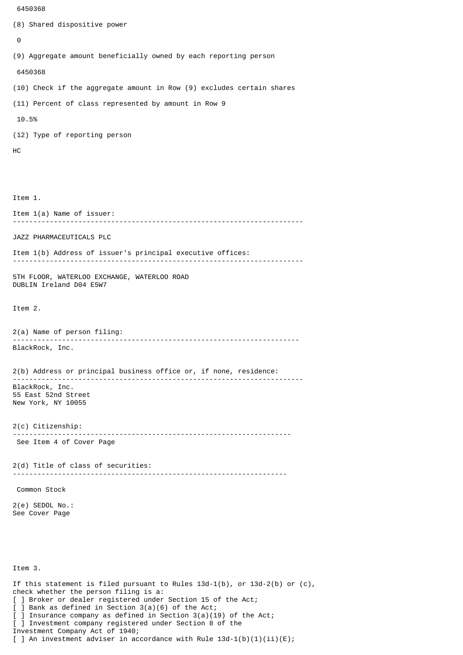```
 6450368
(8) Shared dispositive power
 \boldsymbol{\Theta}(9) Aggregate amount beneficially owned by each reporting person
  6450368
(10) Check if the aggregate amount in Row (9) excludes certain shares
(11) Percent of class represented by amount in Row 9
 10.5%
(12) Type of reporting person
HC
Item 1.
Item 1(a) Name of issuer:
                             -----------------------------------------------------------------------
JAZZ PHARMACEUTICALS PLC
Item 1(b) Address of issuer's principal executive offices:
-----------------------------------------------------------------------
5TH FLOOR, WATERLOO EXCHANGE, WATERLOO ROAD
DUBLIN Ireland D04 E5W7
Item 2.
2(a) Name of person filing:
               ----------------------------------------------------------------------
BlackRock, Inc.
2(b) Address or principal business office or, if none, residence:
 -----------------------------------------------------------------------
BlackRock, Inc.
55 East 52nd Street
New York, NY 10055
2(c) Citizenship:
                             --------------------------------------------------------------------
 See Item 4 of Cover Page
2(d) Title of class of securities:
                                       -------------------------------------------------------------------
 Common Stock
2(e) SEDOL No.:
See Cover Page
Item 3.
```
If this statement is filed pursuant to Rules  $13d-1(b)$ , or  $13d-2(b)$  or  $(c)$ , check whether the person filing is a: [ ] Broker or dealer registered under Section 15 of the Act; [ ] Bank as defined in Section 3(a)(6) of the Act; ] Insurance company as defined in Section  $3(a)(19)$  of the Act; [ ] Investment company registered under Section 8 of the Investment Company Act of 1940;

[ ] An investment adviser in accordance with Rule  $13d-1(b)(1)(ii)(E)$ ;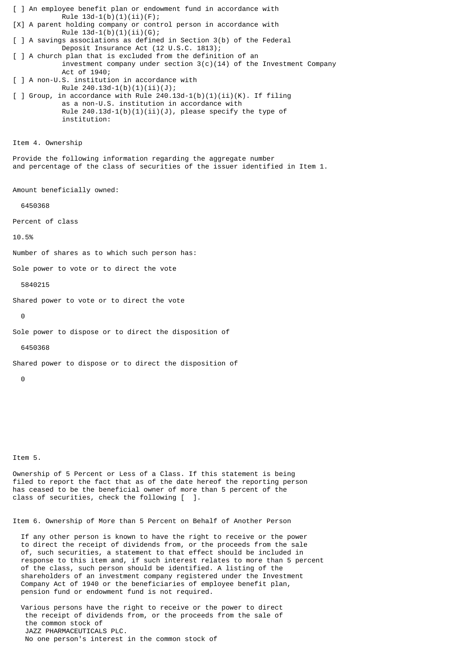[ ] An employee benefit plan or endowment fund in accordance with Rule  $13d-1(b)(1)(ii)(F);$ [X] A parent holding company or control person in accordance with Rule  $13d-1(b)(1)(ii)(G);$ [ ] A savings associations as defined in Section 3(b) of the Federal Deposit Insurance Act (12 U.S.C. 1813); [ ] A church plan that is excluded from the definition of an investment company under section  $3(c)(14)$  of the Investment Company Act of 1940; [ ] A non-U.S. institution in accordance with Rule 240.13d-1(b)(1)(ii)(J);  $\lceil$  ] Group, in accordance with Rule 240.13d-1(b)(1)(ii)(K). If filing as a non-U.S. institution in accordance with Rule  $240.13d-1(b)(1)(ii)(J)$ , please specify the type of institution: Item 4. Ownership Provide the following information regarding the aggregate number and percentage of the class of securities of the issuer identified in Item 1. Amount beneficially owned: 6450368 Percent of class 10.5% Number of shares as to which such person has: Sole power to vote or to direct the vote 5840215 Shared power to vote or to direct the vote  $\Theta$ Sole power to dispose or to direct the disposition of 6450368 Shared power to dispose or to direct the disposition of  $\Omega$ 

Item 5.

Ownership of 5 Percent or Less of a Class. If this statement is being filed to report the fact that as of the date hereof the reporting person has ceased to be the beneficial owner of more than 5 percent of the class of securities, check the following [ ].

Item 6. Ownership of More than 5 Percent on Behalf of Another Person

 If any other person is known to have the right to receive or the power to direct the receipt of dividends from, or the proceeds from the sale of, such securities, a statement to that effect should be included in response to this item and, if such interest relates to more than 5 percent of the class, such person should be identified. A listing of the shareholders of an investment company registered under the Investment Company Act of 1940 or the beneficiaries of employee benefit plan, pension fund or endowment fund is not required.

 Various persons have the right to receive or the power to direct the receipt of dividends from, or the proceeds from the sale of the common stock of JAZZ PHARMACEUTICALS PLC. No one person's interest in the common stock of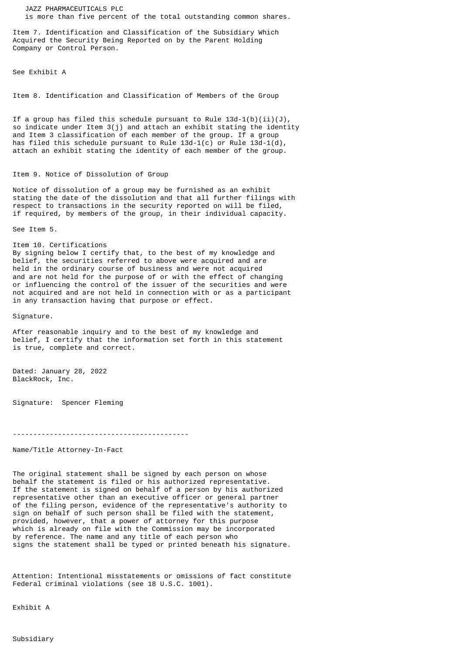JAZZ PHARMACEUTICALS PLC is more than five percent of the total outstanding common shares.

Item 7. Identification and Classification of the Subsidiary Which Acquired the Security Being Reported on by the Parent Holding Company or Control Person.

See Exhibit A

Item 8. Identification and Classification of Members of the Group

If a group has filed this schedule pursuant to Rule  $13d-1(b)(ii)(J)$ , so indicate under Item 3(j) and attach an exhibit stating the identity and Item 3 classification of each member of the group. If a group has filed this schedule pursuant to Rule  $13d-1(c)$  or Rule  $13d-1(d)$ , attach an exhibit stating the identity of each member of the group.

## Item 9. Notice of Dissolution of Group

Notice of dissolution of a group may be furnished as an exhibit stating the date of the dissolution and that all further filings with respect to transactions in the security reported on will be filed, if required, by members of the group, in their individual capacity.

See Item 5.

Item 10. Certifications By signing below I certify that, to the best of my knowledge and belief, the securities referred to above were acquired and are held in the ordinary course of business and were not acquired and are not held for the purpose of or with the effect of changing or influencing the control of the issuer of the securities and were not acquired and are not held in connection with or as a participant

in any transaction having that purpose or effect.

Signature.

After reasonable inquiry and to the best of my knowledge and belief, I certify that the information set forth in this statement is true, complete and correct.

Dated: January 28, 2022 BlackRock, Inc.

Signature: Spencer Fleming

-------------------------------------------

Name/Title Attorney-In-Fact

The original statement shall be signed by each person on whose behalf the statement is filed or his authorized representative. If the statement is signed on behalf of a person by his authorized representative other than an executive officer or general partner of the filing person, evidence of the representative's authority to sign on behalf of such person shall be filed with the statement, provided, however, that a power of attorney for this purpose which is already on file with the Commission may be incorporated by reference. The name and any title of each person who signs the statement shall be typed or printed beneath his signature.

Attention: Intentional misstatements or omissions of fact constitute Federal criminal violations (see 18 U.S.C. 1001).

Exhibit A